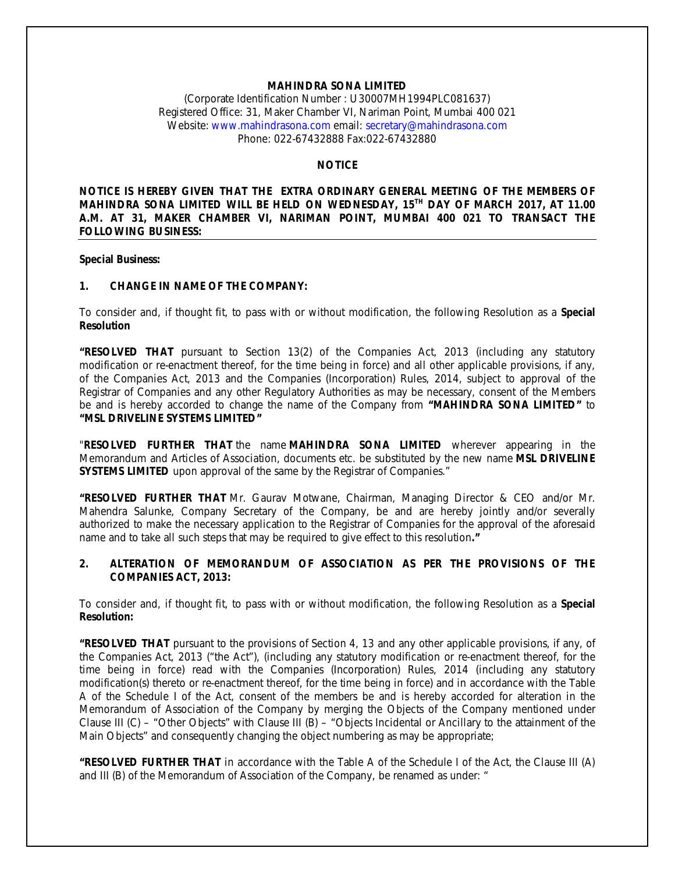## **MAHINDRA SONA LIMITED**

(Corporate Identification Number : U30007MH1994PLC081637) Registered Office: 31, Maker Chamber VI, Nariman Point, Mumbai 400 021 Website: www.mahindrasona.com email: secretary@mahindrasona.com Phone: 022-67432888 Fax:022-67432880

# **NOTICE**

**NOTICE IS HEREBY GIVEN THAT THE EXTRA ORDINARY GENERAL MEETING OF THE MEMBERS OF MAHINDRA SONA LIMITED WILL BE HELD ON WEDNESDAY, 15TH DAY OF MARCH 2017, AT 11.00 A.M. AT 31, MAKER CHAMBER VI, NARIMAN POINT, MUMBAI 400 021 TO TRANSACT THE FOLLOWING BUSINESS:**

#### **Special Business:**

### **1. CHANGE IN NAME OF THE COMPANY:**

To consider and, if thought fit, to pass with or without modification, the following Resolution as a **Special Resolution**

**"RESOLVED THAT** pursuant to Section 13(2) of the Companies Act, 2013 (including any statutory modification or re-enactment thereof, for the time being in force) and all other applicable provisions, if any, of the Companies Act, 2013 and the Companies (Incorporation) Rules, 2014, subject to approval of the Registrar of Companies and any other Regulatory Authorities as may be necessary, consent of the Members be and is hereby accorded to change the name of the Company from **"MAHINDRA SONA LIMITED"** to **"MSL DRIVELINE SYSTEMS LIMITED"**

"**RESOLVED FURTHER THAT** the name **MAHINDRA SONA LIMITED** wherever appearing in the Memorandum and Articles of Association, documents etc. be substituted by the new name **MSL DRIVELINE SYSTEMS LIMITED** upon approval of the same by the Registrar of Companies."

**"RESOLVED FURTHER THAT** Mr. Gaurav Motwane, Chairman, Managing Director & CEO and/or Mr. Mahendra Salunke, Company Secretary of the Company, be and are hereby jointly and/or severally authorized to make the necessary application to the Registrar of Companies for the approval of the aforesaid name and to take all such steps that may be required to give effect to this resolution**."**

### **2. ALTERATION OF MEMORANDUM OF ASSOCIATION AS PER THE PROVISIONS OF THE COMPANIES ACT, 2013:**

To consider and, if thought fit, to pass with or without modification, the following Resolution as a **Special Resolution:**

**"RESOLVED THAT** pursuant to the provisions of Section 4, 13 and any other applicable provisions, if any, of the Companies Act, 2013 ("the Act"), (including any statutory modification or re-enactment thereof, for the time being in force) read with the Companies (Incorporation) Rules, 2014 (including any statutory modification(s) thereto or re-enactment thereof, for the time being in force) and in accordance with the Table A of the Schedule I of the Act, consent of the members be and is hereby accorded for alteration in the Memorandum of Association of the Company by merging the Objects of the Company mentioned under Clause III (C) – "Other Objects" with Clause III (B) – "Objects Incidental or Ancillary to the attainment of the Main Objects" and consequently changing the object numbering as may be appropriate;

**"RESOLVED FURTHER THAT** in accordance with the Table A of the Schedule I of the Act, the Clause III (A) and III (B) of the Memorandum of Association of the Company, be renamed as under: "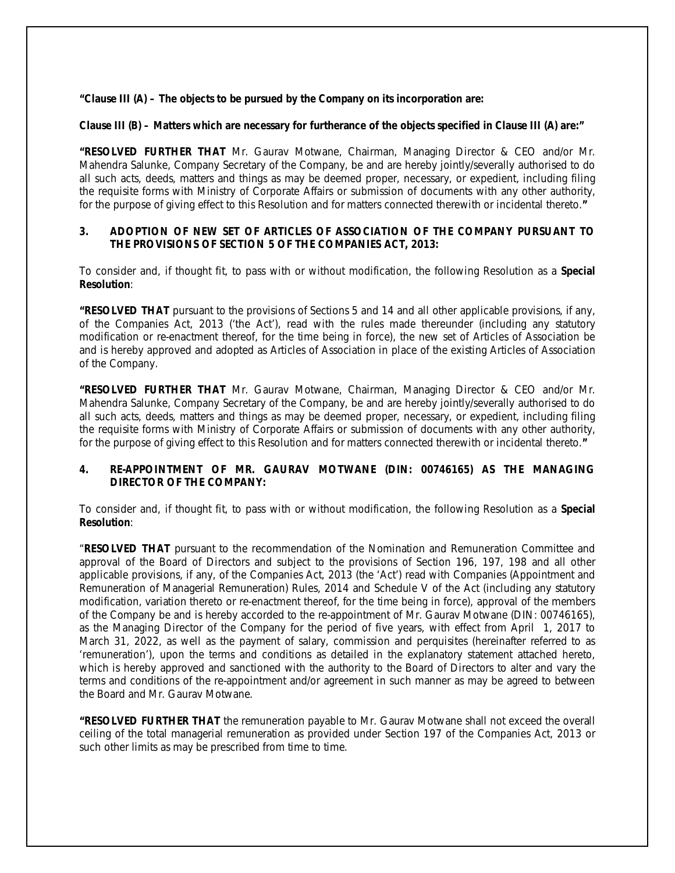**"Clause III (A) – The objects to be pursued by the Company on its incorporation are:** 

### **Clause III (B) – Matters which are necessary for furtherance of the objects specified in Clause III (A) are:"**

**"RESOLVED FURTHER THAT** Mr. Gaurav Motwane, Chairman, Managing Director & CEO and/or Mr. Mahendra Salunke, Company Secretary of the Company, be and are hereby jointly/severally authorised to do all such acts, deeds, matters and things as may be deemed proper, necessary, or expedient, including filing the requisite forms with Ministry of Corporate Affairs or submission of documents with any other authority, for the purpose of giving effect to this Resolution and for matters connected therewith or incidental thereto.**"**

## **3. ADOPTION OF NEW SET OF ARTICLES OF ASSOCIATION OF THE COMPANY PURSUANT TO THE PROVISIONS OF SECTION 5 OF THE COMPANIES ACT, 2013:**

To consider and, if thought fit, to pass with or without modification, the following Resolution as a **Special Resolution**:

**"RESOLVED THAT** pursuant to the provisions of Sections 5 and 14 and all other applicable provisions, if any, of the Companies Act, 2013 ('the Act'), read with the rules made thereunder (including any statutory modification or re-enactment thereof, for the time being in force), the new set of Articles of Association be and is hereby approved and adopted as Articles of Association in place of the existing Articles of Association of the Company.

**"RESOLVED FURTHER THAT** Mr. Gaurav Motwane, Chairman, Managing Director & CEO and/or Mr. Mahendra Salunke, Company Secretary of the Company, be and are hereby jointly/severally authorised to do all such acts, deeds, matters and things as may be deemed proper, necessary, or expedient, including filing the requisite forms with Ministry of Corporate Affairs or submission of documents with any other authority, for the purpose of giving effect to this Resolution and for matters connected therewith or incidental thereto.**"**

## **4. RE-APPOINTMENT OF MR. GAURAV MOTWANE (DIN: 00746165) AS THE MANAGING DIRECTOR OF THE COMPANY:**

To consider and, if thought fit, to pass with or without modification, the following Resolution as a **Special Resolution**:

"**RESOLVED THAT** pursuant to the recommendation of the Nomination and Remuneration Committee and approval of the Board of Directors and subject to the provisions of Section 196, 197, 198 and all other applicable provisions, if any, of the Companies Act, 2013 (the 'Act') read with Companies (Appointment and Remuneration of Managerial Remuneration) Rules, 2014 and Schedule V of the Act (including any statutory modification, variation thereto or re-enactment thereof, for the time being in force), approval of the members of the Company be and is hereby accorded to the re-appointment of Mr. Gaurav Motwane (DIN: 00746165), as the Managing Director of the Company for the period of five years, with effect from April 1, 2017 to March 31, 2022, as well as the payment of salary, commission and perquisites (hereinafter referred to as 'remuneration'), upon the terms and conditions as detailed in the explanatory statement attached hereto, which is hereby approved and sanctioned with the authority to the Board of Directors to alter and vary the terms and conditions of the re-appointment and/or agreement in such manner as may be agreed to between the Board and Mr. Gaurav Motwane.

**"RESOLVED FURTHER THAT** the remuneration payable to Mr. Gaurav Motwane shall not exceed the overall ceiling of the total managerial remuneration as provided under Section 197 of the Companies Act, 2013 or such other limits as may be prescribed from time to time.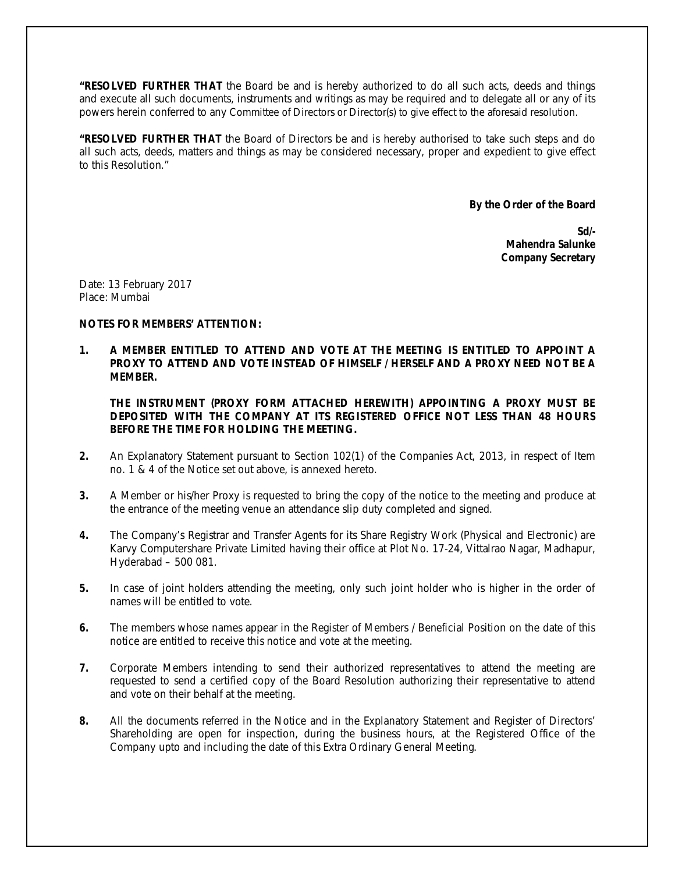**"RESOLVED FURTHER THAT** the Board be and is hereby authorized to do all such acts, deeds and things and execute all such documents, instruments and writings as may be required and to delegate all or any of its powers herein conferred to any Committee of Directors or Director(s) to give effect to the aforesaid resolution.

**"RESOLVED FURTHER THAT** the Board of Directors be and is hereby authorised to take such steps and do all such acts, deeds, matters and things as may be considered necessary, proper and expedient to give effect to this Resolution."

**By the Order of the Board**

**Sd/- Mahendra Salunke Company Secretary**

Date: 13 February 2017 Place: Mumbai

## **NOTES FOR MEMBERS' ATTENTION:**

**1. A MEMBER ENTITLED TO ATTEND AND VOTE AT THE MEETING IS ENTITLED TO APPOINT A PROXY TO ATTEND AND VOTE INSTEAD OF HIMSELF / HERSELF AND A PROXY NEED NOT BE A MEMBER.**

**THE INSTRUMENT (PROXY FORM ATTACHED HEREWITH) APPOINTING A PROXY MUST BE DEPOSITED WITH THE COMPANY AT ITS REGISTERED OFFICE NOT LESS THAN 48 HOURS BEFORE THE TIME FOR HOLDING THE MEETING.**

- **2.** An Explanatory Statement pursuant to Section 102(1) of the Companies Act, 2013, in respect of Item no. 1 & 4 of the Notice set out above, is annexed hereto.
- **3.** A Member or his/her Proxy is requested to bring the copy of the notice to the meeting and produce at the entrance of the meeting venue an attendance slip duty completed and signed.
- **4.** The Company's Registrar and Transfer Agents for its Share Registry Work (Physical and Electronic) are Karvy Computershare Private Limited having their office at Plot No. 17-24, Vittalrao Nagar, Madhapur, Hyderabad – 500 081.
- **5.** In case of joint holders attending the meeting, only such joint holder who is higher in the order of names will be entitled to vote.
- **6.** The members whose names appear in the Register of Members / Beneficial Position on the date of this notice are entitled to receive this notice and vote at the meeting.
- **7.** Corporate Members intending to send their authorized representatives to attend the meeting are requested to send a certified copy of the Board Resolution authorizing their representative to attend and vote on their behalf at the meeting.
- **8.** All the documents referred in the Notice and in the Explanatory Statement and Register of Directors' Shareholding are open for inspection, during the business hours, at the Registered Office of the Company upto and including the date of this Extra Ordinary General Meeting.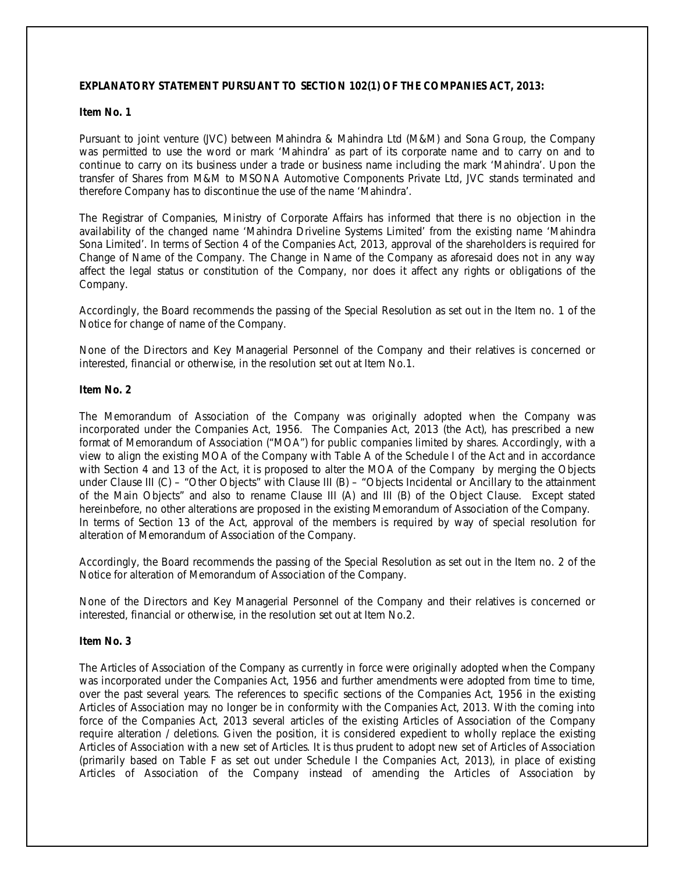## **EXPLANATORY STATEMENT PURSUANT TO SECTION 102(1) OF THE COMPANIES ACT, 2013:**

### **Item No. 1**

Pursuant to joint venture (JVC) between Mahindra & Mahindra Ltd (M&M) and Sona Group, the Company was permitted to use the word or mark 'Mahindra' as part of its corporate name and to carry on and to continue to carry on its business under a trade or business name including the mark 'Mahindra'. Upon the transfer of Shares from M&M to MSONA Automotive Components Private Ltd, JVC stands terminated and therefore Company has to discontinue the use of the name 'Mahindra'.

The Registrar of Companies, Ministry of Corporate Affairs has informed that there is no objection in the availability of the changed name 'Mahindra Driveline Systems Limited' from the existing name 'Mahindra Sona Limited'. In terms of Section 4 of the Companies Act, 2013, approval of the shareholders is required for Change of Name of the Company. The Change in Name of the Company as aforesaid does not in any way affect the legal status or constitution of the Company, nor does it affect any rights or obligations of the Company.

Accordingly, the Board recommends the passing of the Special Resolution as set out in the Item no. 1 of the Notice for change of name of the Company.

None of the Directors and Key Managerial Personnel of the Company and their relatives is concerned or interested, financial or otherwise, in the resolution set out at Item No.1.

#### **Item No. 2**

The Memorandum of Association of the Company was originally adopted when the Company was incorporated under the Companies Act, 1956. The Companies Act, 2013 (the Act), has prescribed a new format of Memorandum of Association ("MOA") for public companies limited by shares. Accordingly, with a view to align the existing MOA of the Company with Table A of the Schedule I of the Act and in accordance with Section 4 and 13 of the Act, it is proposed to alter the MOA of the Company by merging the Objects under Clause III (C) – "Other Objects" with Clause III (B) – "Objects Incidental or Ancillary to the attainment of the Main Objects" and also to rename Clause III (A) and III (B) of the Object Clause. Except stated hereinbefore, no other alterations are proposed in the existing Memorandum of Association of the Company. In terms of Section 13 of the Act, approval of the members is required by way of special resolution for alteration of Memorandum of Association of the Company.

Accordingly, the Board recommends the passing of the Special Resolution as set out in the Item no. 2 of the Notice for alteration of Memorandum of Association of the Company.

None of the Directors and Key Managerial Personnel of the Company and their relatives is concerned or interested, financial or otherwise, in the resolution set out at Item No.2.

#### **Item No. 3**

The Articles of Association of the Company as currently in force were originally adopted when the Company was incorporated under the Companies Act, 1956 and further amendments were adopted from time to time, over the past several years. The references to specific sections of the Companies Act, 1956 in the existing Articles of Association may no longer be in conformity with the Companies Act, 2013. With the coming into force of the Companies Act, 2013 several articles of the existing Articles of Association of the Company require alteration / deletions. Given the position, it is considered expedient to wholly replace the existing Articles of Association with a new set of Articles. It is thus prudent to adopt new set of Articles of Association (primarily based on Table F as set out under Schedule I the Companies Act, 2013), in place of existing Articles of Association of the Company instead of amending the Articles of Association by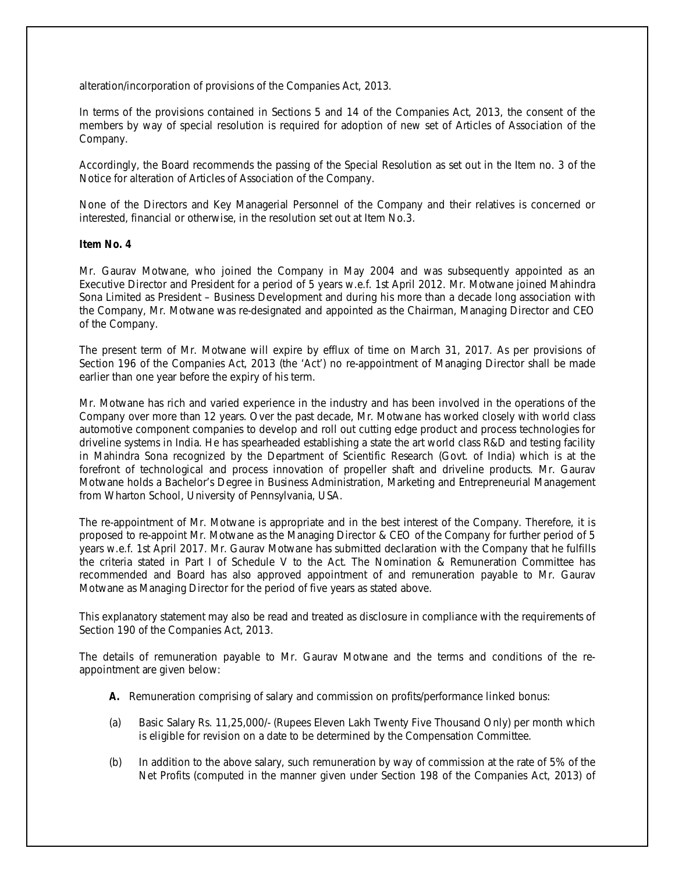alteration/incorporation of provisions of the Companies Act, 2013.

In terms of the provisions contained in Sections 5 and 14 of the Companies Act, 2013, the consent of the members by way of special resolution is required for adoption of new set of Articles of Association of the Company.

Accordingly, the Board recommends the passing of the Special Resolution as set out in the Item no. 3 of the Notice for alteration of Articles of Association of the Company.

None of the Directors and Key Managerial Personnel of the Company and their relatives is concerned or interested, financial or otherwise, in the resolution set out at Item No.3.

### **Item No. 4**

Mr. Gaurav Motwane, who joined the Company in May 2004 and was subsequently appointed as an Executive Director and President for a period of 5 years w.e.f. 1st April 2012. Mr. Motwane joined Mahindra Sona Limited as President – Business Development and during his more than a decade long association with the Company, Mr. Motwane was re-designated and appointed as the Chairman, Managing Director and CEO of the Company.

The present term of Mr. Motwane will expire by efflux of time on March 31, 2017. As per provisions of Section 196 of the Companies Act, 2013 (the 'Act') no re-appointment of Managing Director shall be made earlier than one year before the expiry of his term.

Mr. Motwane has rich and varied experience in the industry and has been involved in the operations of the Company over more than 12 years. Over the past decade, Mr. Motwane has worked closely with world class automotive component companies to develop and roll out cutting edge product and process technologies for driveline systems in India. He has spearheaded establishing a state the art world class R&D and testing facility in Mahindra Sona recognized by the Department of Scientific Research (Govt. of India) which is at the forefront of technological and process innovation of propeller shaft and driveline products. Mr. Gaurav Motwane holds a Bachelor's Degree in Business Administration, Marketing and Entrepreneurial Management from Wharton School, University of Pennsylvania, USA.

The re-appointment of Mr. Motwane is appropriate and in the best interest of the Company. Therefore, it is proposed to re-appoint Mr. Motwane as the Managing Director & CEO of the Company for further period of 5 years w.e.f. 1st April 2017. Mr. Gaurav Motwane has submitted declaration with the Company that he fulfills the criteria stated in Part I of Schedule V to the Act. The Nomination & Remuneration Committee has recommended and Board has also approved appointment of and remuneration payable to Mr. Gaurav Motwane as Managing Director for the period of five years as stated above.

This explanatory statement may also be read and treated as disclosure in compliance with the requirements of Section 190 of the Companies Act, 2013.

The details of remuneration payable to Mr. Gaurav Motwane and the terms and conditions of the reappointment are given below:

- **A.** Remuneration comprising of salary and commission on profits/performance linked bonus:
- (a) Basic Salary Rs. 11,25,000/- (Rupees Eleven Lakh Twenty Five Thousand Only) per month which is eligible for revision on a date to be determined by the Compensation Committee.
- (b) In addition to the above salary, such remuneration by way of commission at the rate of 5% of the Net Profits (computed in the manner given under Section 198 of the Companies Act, 2013) of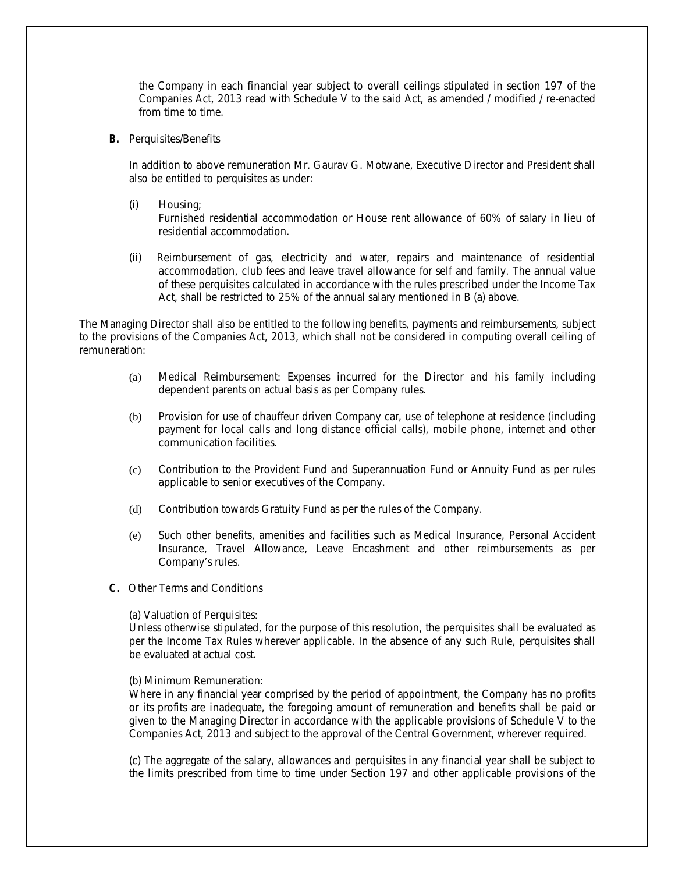the Company in each financial year subject to overall ceilings stipulated in section 197 of the Companies Act, 2013 read with Schedule V to the said Act, as amended / modified / re-enacted from time to time.

**B.** Perquisites/Benefits

In addition to above remuneration Mr. Gaurav G. Motwane, Executive Director and President shall also be entitled to perquisites as under:

(i) Housing;

Furnished residential accommodation or House rent allowance of 60% of salary in lieu of residential accommodation.

(ii) Reimbursement of gas, electricity and water, repairs and maintenance of residential accommodation, club fees and leave travel allowance for self and family. The annual value of these perquisites calculated in accordance with the rules prescribed under the Income Tax Act, shall be restricted to 25% of the annual salary mentioned in B (a) above.

The Managing Director shall also be entitled to the following benefits, payments and reimbursements, subject to the provisions of the Companies Act, 2013, which shall not be considered in computing overall ceiling of remuneration:

- (a) Medical Reimbursement: Expenses incurred for the Director and his family including dependent parents on actual basis as per Company rules.
- (b) Provision for use of chauffeur driven Company car, use of telephone at residence (including payment for local calls and long distance official calls), mobile phone, internet and other communication facilities.
- (c) Contribution to the Provident Fund and Superannuation Fund or Annuity Fund as per rules applicable to senior executives of the Company.
- (d) Contribution towards Gratuity Fund as per the rules of the Company.
- (e) Such other benefits, amenities and facilities such as Medical Insurance, Personal Accident Insurance, Travel Allowance, Leave Encashment and other reimbursements as per Company's rules.
- **C.** Other Terms and Conditions

(a) Valuation of Perquisites:

Unless otherwise stipulated, for the purpose of this resolution, the perquisites shall be evaluated as per the Income Tax Rules wherever applicable. In the absence of any such Rule, perquisites shall be evaluated at actual cost.

### (b) Minimum Remuneration:

Where in any financial year comprised by the period of appointment, the Company has no profits or its profits are inadequate, the foregoing amount of remuneration and benefits shall be paid or given to the Managing Director in accordance with the applicable provisions of Schedule V to the Companies Act, 2013 and subject to the approval of the Central Government, wherever required.

(c) The aggregate of the salary, allowances and perquisites in any financial year shall be subject to the limits prescribed from time to time under Section 197 and other applicable provisions of the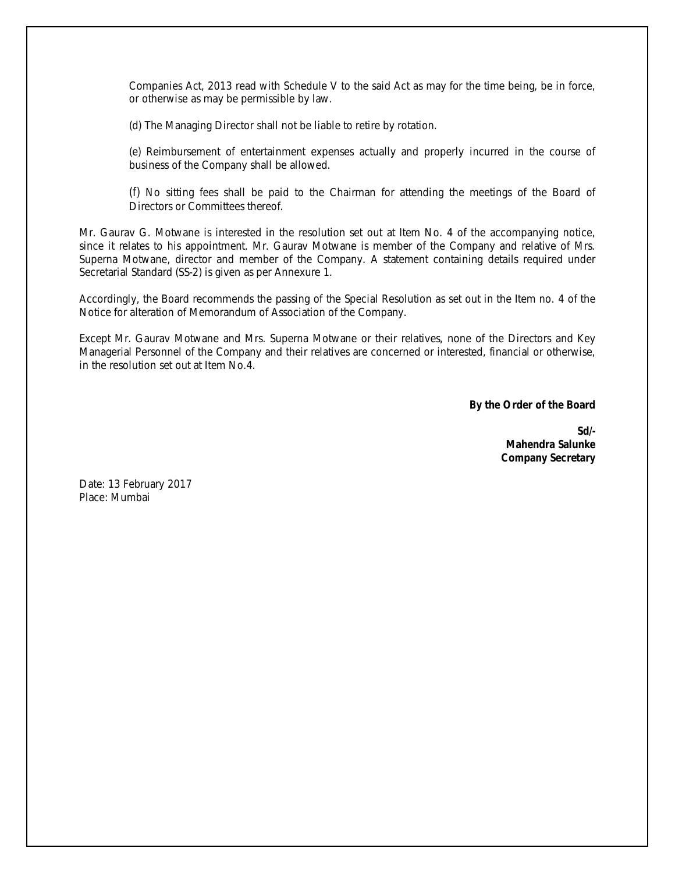Companies Act, 2013 read with Schedule V to the said Act as may for the time being, be in force, or otherwise as may be permissible by law.

(d) The Managing Director shall not be liable to retire by rotation.

(e) Reimbursement of entertainment expenses actually and properly incurred in the course of business of the Company shall be allowed.

(f) No sitting fees shall be paid to the Chairman for attending the meetings of the Board of Directors or Committees thereof.

Mr. Gaurav G. Motwane is interested in the resolution set out at Item No. 4 of the accompanying notice, since it relates to his appointment. Mr. Gaurav Motwane is member of the Company and relative of Mrs. Superna Motwane, director and member of the Company. A statement containing details required under Secretarial Standard (SS-2) is given as per Annexure 1.

Accordingly, the Board recommends the passing of the Special Resolution as set out in the Item no. 4 of the Notice for alteration of Memorandum of Association of the Company.

Except Mr. Gaurav Motwane and Mrs. Superna Motwane or their relatives, none of the Directors and Key Managerial Personnel of the Company and their relatives are concerned or interested, financial or otherwise, in the resolution set out at Item No.4.

**By the Order of the Board**

**Sd/- Mahendra Salunke Company Secretary**

Date: 13 February 2017 Place: Mumbai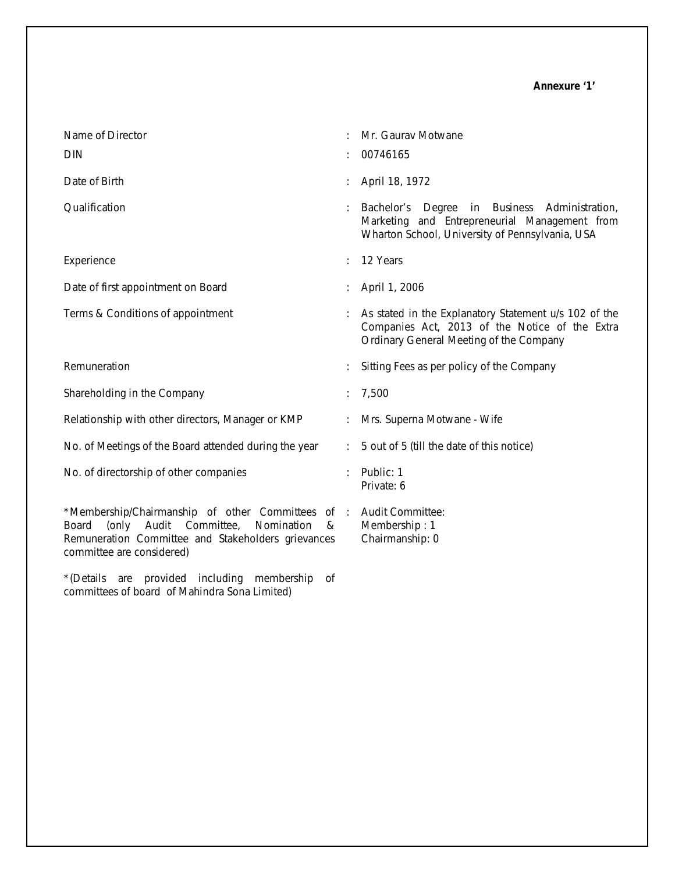| Name of Director<br><b>DIN</b>                                                                                                                                                                                    | Mr. Gaurav Motwane<br>00746165                                                                                                                       |
|-------------------------------------------------------------------------------------------------------------------------------------------------------------------------------------------------------------------|------------------------------------------------------------------------------------------------------------------------------------------------------|
| Date of Birth                                                                                                                                                                                                     | April 18, 1972                                                                                                                                       |
| Qualification                                                                                                                                                                                                     | Bachelor's Degree<br>in Business Administration,<br>Marketing and Entrepreneurial Management from<br>Wharton School, University of Pennsylvania, USA |
| Experience                                                                                                                                                                                                        | 12 Years                                                                                                                                             |
| Date of first appointment on Board                                                                                                                                                                                | April 1, 2006                                                                                                                                        |
| Terms & Conditions of appointment                                                                                                                                                                                 | As stated in the Explanatory Statement u/s 102 of the<br>Companies Act, 2013 of the Notice of the Extra<br>Ordinary General Meeting of the Company   |
| Remuneration                                                                                                                                                                                                      | Sitting Fees as per policy of the Company                                                                                                            |
| Shareholding in the Company                                                                                                                                                                                       | 7,500                                                                                                                                                |
| Relationship with other directors, Manager or KMP                                                                                                                                                                 | Mrs. Superna Motwane - Wife                                                                                                                          |
| No. of Meetings of the Board attended during the year                                                                                                                                                             | 5 out of 5 (till the date of this notice)                                                                                                            |
| No. of directorship of other companies                                                                                                                                                                            | Public: 1<br>Private: 6                                                                                                                              |
| *Membership/Chairmanship of other Committees of : Audit Committee:<br>Audit<br>Committee,<br>(only<br>Nomination<br>Board<br>&<br>Remuneration Committee and Stakeholders grievances<br>committee are considered) | Membership: 1<br>Chairmanship: 0                                                                                                                     |

\*(Details are provided including membership of committees of board of Mahindra Sona Limited)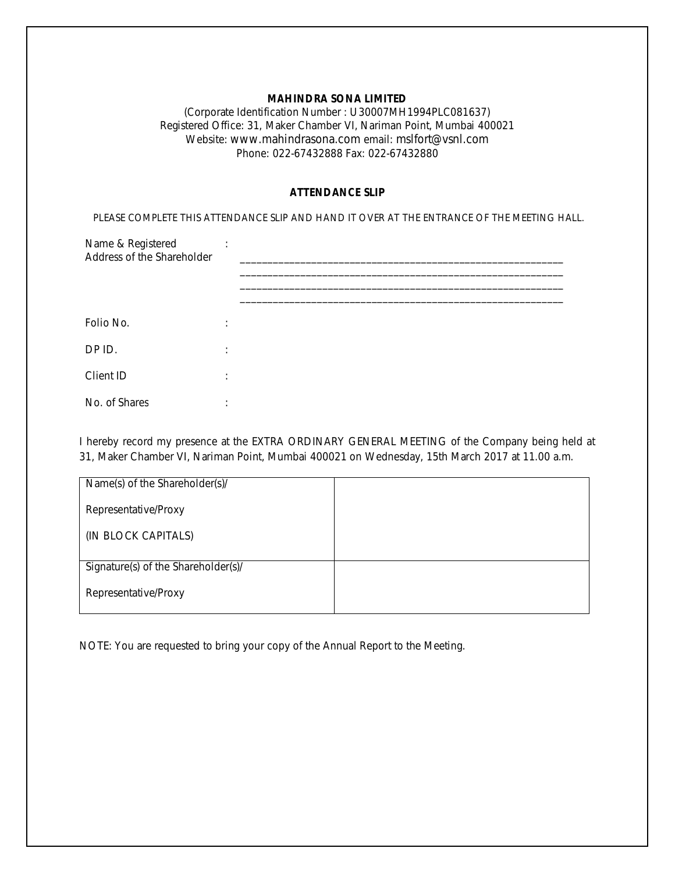# **MAHINDRA SONA LIMITED**

(Corporate Identification Number : U30007MH1994PLC081637) Registered Office: 31, Maker Chamber VI, Nariman Point, Mumbai 400021 Website: www.mahindrasona.com email: mslfort@vsnl.com Phone: 022-67432888 Fax: 022-67432880

### **ATTENDANCE SLIP**

PLEASE COMPLETE THIS ATTENDANCE SLIP AND HAND IT OVER AT THE ENTRANCE OF THE MEETING HALL.

| Name & Registered<br>Address of the Shareholder | ٠<br>$\cdot$ |  |
|-------------------------------------------------|--------------|--|
|                                                 |              |  |
| Folio No.                                       | ٠<br>$\cdot$ |  |
| DP ID.                                          | ٠<br>$\cdot$ |  |
| Client ID                                       | ٠<br>$\cdot$ |  |
| No. of Shares                                   | ٠            |  |

I hereby record my presence at the EXTRA ORDINARY GENERAL MEETING of the Company being held at 31, Maker Chamber VI, Nariman Point, Mumbai 400021 on Wednesday, 15th March 2017 at 11.00 a.m.

| Name(s) of the Shareholder(s)/      |  |
|-------------------------------------|--|
| Representative/Proxy                |  |
| (IN BLOCK CAPITALS)                 |  |
|                                     |  |
| Signature(s) of the Shareholder(s)/ |  |
| Representative/Proxy                |  |

NOTE: You are requested to bring your copy of the Annual Report to the Meeting.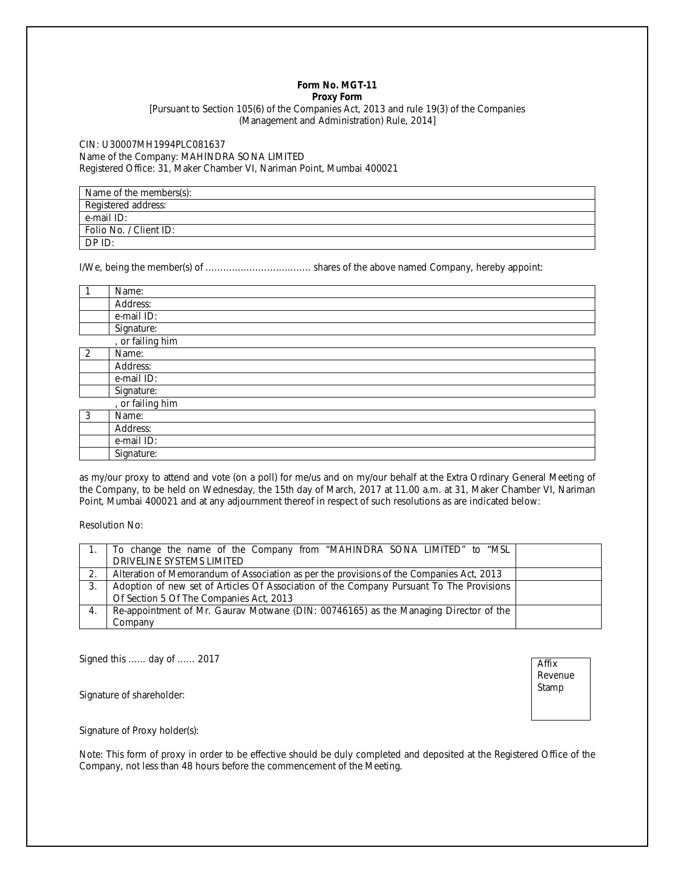#### **Form No. MGT-11 Proxy Form**

[Pursuant to Section 105(6) of the Companies Act, 2013 and rule 19(3) of the Companies (Management and Administration) Rule, 2014]

CIN: U30007MH1994PLC081637 Name of the Company: MAHINDRA SONA LIMITED Registered Office: 31, Maker Chamber VI, Nariman Point, Mumbai 400021

| Name of the members(s): |
|-------------------------|
| Registered address:     |
| e-mail ID:              |
| Folio No. / Client ID:  |
| DP ID:                  |

I/We, being the member(s) of ……………………………… shares of the above named Company, hereby appoint:

|   | Name:            |
|---|------------------|
|   | Address:         |
|   | e-mail ID:       |
|   | Signature:       |
|   | , or failing him |
| 2 | Name:            |
|   | Address:         |
|   | e-mail ID:       |
|   | Signature:       |
|   | , or failing him |
| 3 | Name:            |
|   | Address:         |
|   | e-mail ID:       |
|   | Signature:       |

as my/our proxy to attend and vote (on a poll) for me/us and on my/our behalf at the Extra Ordinary General Meeting of the Company, to be held on Wednesday, the 15th day of March, 2017 at 11.00 a.m. at 31, Maker Chamber VI, Nariman Point, Mumbai 400021 and at any adjournment thereof in respect of such resolutions as are indicated below:

Resolution No:

|    | To change the name of the Company from "MAHINDRA SONA LIMITED" to "MSL                   |  |
|----|------------------------------------------------------------------------------------------|--|
|    | DRIVELINE SYSTEMS LIMITED                                                                |  |
| 2. | Alteration of Memorandum of Association as per the provisions of the Companies Act, 2013 |  |
|    | Adoption of new set of Articles Of Association of the Company Pursuant To The Provisions |  |
|    | Of Section 5 Of The Companies Act, 2013                                                  |  |
| 4. | Re-appointment of Mr. Gaurav Motwane (DIN: 00746165) as the Managing Director of the     |  |
|    | Company                                                                                  |  |

Signed this …… day of …… 2017

Signature of shareholder:

Affix Revenue Stamp

Signature of Proxy holder(s):

Note: This form of proxy in order to be effective should be duly completed and deposited at the Registered Office of the Company, not less than 48 hours before the commencement of the Meeting.